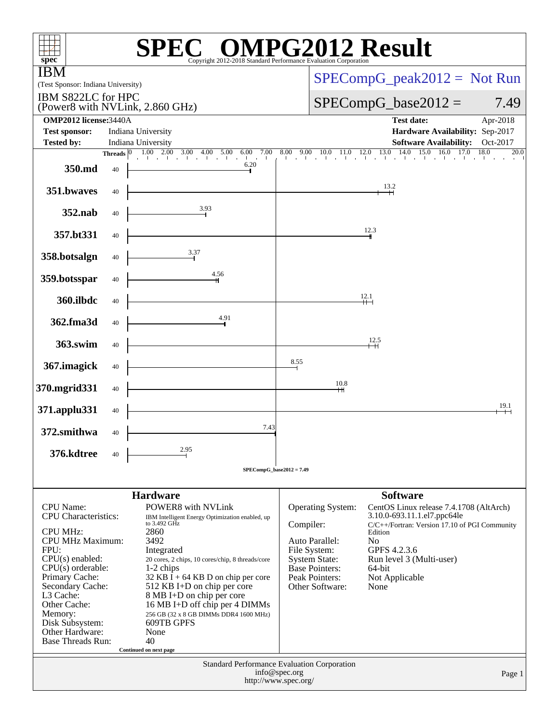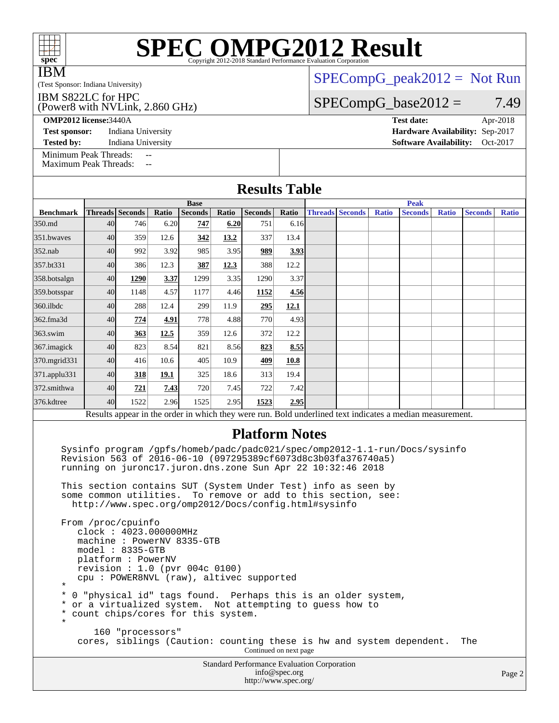| $spec^*$                                                                                                                                                                                                                                                                                                                                                                                                                                                                                              | <b>SPEC OMPG2012 Result</b> |                    |      |      |      |                                                                            |               |                                                                                                           |                               |  |                                                                                                          |  |  |              |  |
|-------------------------------------------------------------------------------------------------------------------------------------------------------------------------------------------------------------------------------------------------------------------------------------------------------------------------------------------------------------------------------------------------------------------------------------------------------------------------------------------------------|-----------------------------|--------------------|------|------|------|----------------------------------------------------------------------------|---------------|-----------------------------------------------------------------------------------------------------------|-------------------------------|--|----------------------------------------------------------------------------------------------------------|--|--|--------------|--|
| <b>IBM</b><br>(Test Sponsor: Indiana University)                                                                                                                                                                                                                                                                                                                                                                                                                                                      |                             |                    |      |      |      |                                                                            |               |                                                                                                           | $SPECompG_peak2012 = Not Run$ |  |                                                                                                          |  |  |              |  |
| IBM S822LC for HPC<br>(Power8 with NVLink, 2.860 GHz)                                                                                                                                                                                                                                                                                                                                                                                                                                                 |                             |                    |      |      |      |                                                                            |               |                                                                                                           | $SPECompG_base2012 =$<br>7.49 |  |                                                                                                          |  |  |              |  |
| <b>OMP2012</b> license: 3440A<br><b>Test date:</b>                                                                                                                                                                                                                                                                                                                                                                                                                                                    |                             |                    |      |      |      |                                                                            |               |                                                                                                           |                               |  |                                                                                                          |  |  | Apr-2018     |  |
| <b>Test sponsor:</b>                                                                                                                                                                                                                                                                                                                                                                                                                                                                                  |                             | Indiana University |      |      |      |                                                                            |               |                                                                                                           |                               |  | Hardware Availability: Sep-2017                                                                          |  |  |              |  |
| <b>Tested by:</b>                                                                                                                                                                                                                                                                                                                                                                                                                                                                                     |                             | Indiana University |      |      |      |                                                                            |               |                                                                                                           |                               |  | <b>Software Availability:</b>                                                                            |  |  | Oct-2017     |  |
| Minimum Peak Threads:<br>--<br><b>Maximum Peak Threads:</b><br>$\sim$                                                                                                                                                                                                                                                                                                                                                                                                                                 |                             |                    |      |      |      |                                                                            |               |                                                                                                           |                               |  |                                                                                                          |  |  |              |  |
|                                                                                                                                                                                                                                                                                                                                                                                                                                                                                                       |                             |                    |      |      |      | <b>Results Table</b>                                                       |               |                                                                                                           |                               |  |                                                                                                          |  |  |              |  |
| <b>Base</b><br><b>Threads</b> Seconds<br>Ratio<br><b>Seconds</b><br>Ratio<br><b>Seconds</b><br><b>Benchmark</b>                                                                                                                                                                                                                                                                                                                                                                                       |                             |                    |      |      |      |                                                                            | Ratio         | <b>Peak</b><br><b>Threads Seconds</b><br><b>Ratio</b><br><b>Seconds</b><br><b>Ratio</b><br><b>Seconds</b> |                               |  |                                                                                                          |  |  |              |  |
| 350.md                                                                                                                                                                                                                                                                                                                                                                                                                                                                                                | 40                          | 746                | 6.20 | 747  | 6.20 | 751                                                                        | 6.16          |                                                                                                           |                               |  |                                                                                                          |  |  | <b>Ratio</b> |  |
| 351.bwayes                                                                                                                                                                                                                                                                                                                                                                                                                                                                                            | 40                          | 359                | 12.6 | 342  | 13.2 | 337                                                                        | 13.4          |                                                                                                           |                               |  |                                                                                                          |  |  |              |  |
| $352$ .nab                                                                                                                                                                                                                                                                                                                                                                                                                                                                                            | 40                          | 992                | 3.92 | 985  | 3.95 | 989                                                                        | 3.93          |                                                                                                           |                               |  |                                                                                                          |  |  |              |  |
| 357.bt331                                                                                                                                                                                                                                                                                                                                                                                                                                                                                             | 40                          | 386                | 12.3 | 387  | 12.3 | 388                                                                        | 12.2          |                                                                                                           |                               |  |                                                                                                          |  |  |              |  |
| 358.botsalgn                                                                                                                                                                                                                                                                                                                                                                                                                                                                                          | 40                          | 1290               | 3.37 | 1299 | 3.35 | 1290                                                                       | 3.37          |                                                                                                           |                               |  |                                                                                                          |  |  |              |  |
| 359.botsspar                                                                                                                                                                                                                                                                                                                                                                                                                                                                                          | 40                          | 1148               | 4.57 | 1177 | 4.46 | 1152                                                                       | 4.56          |                                                                                                           |                               |  |                                                                                                          |  |  |              |  |
| 360.ilbdc                                                                                                                                                                                                                                                                                                                                                                                                                                                                                             | 40                          | 288                | 12.4 | 299  | 11.9 | 295                                                                        | 12.1          |                                                                                                           |                               |  |                                                                                                          |  |  |              |  |
| 362.fma3d                                                                                                                                                                                                                                                                                                                                                                                                                                                                                             | 40                          | 774                | 4.91 | 778  | 4.88 | 770                                                                        | 4.93          |                                                                                                           |                               |  |                                                                                                          |  |  |              |  |
| 363.swim                                                                                                                                                                                                                                                                                                                                                                                                                                                                                              | 40                          | 363                | 12.5 | 359  | 12.6 | 372                                                                        | 12.2          |                                                                                                           |                               |  |                                                                                                          |  |  |              |  |
| 367.imagick                                                                                                                                                                                                                                                                                                                                                                                                                                                                                           | 40                          | 823                | 8.54 | 821  | 8.56 | 823                                                                        | 8.55          |                                                                                                           |                               |  |                                                                                                          |  |  |              |  |
| 370.mgrid331                                                                                                                                                                                                                                                                                                                                                                                                                                                                                          | 40                          | 416                | 10.6 | 405  | 10.9 | 409                                                                        | 10.8          |                                                                                                           |                               |  |                                                                                                          |  |  |              |  |
| 371.applu331                                                                                                                                                                                                                                                                                                                                                                                                                                                                                          | 40                          | 318                | 19.1 | 325  | 18.6 | 313                                                                        | 19.4          |                                                                                                           |                               |  |                                                                                                          |  |  |              |  |
| 372.smithwa                                                                                                                                                                                                                                                                                                                                                                                                                                                                                           | 40                          | 721                | 7.43 | 720  | 7.45 | 722                                                                        | 7.42          |                                                                                                           |                               |  |                                                                                                          |  |  |              |  |
| 376.kdtree                                                                                                                                                                                                                                                                                                                                                                                                                                                                                            | 40                          | 1522               | 2.96 | 1525 | 2.95 | 1523                                                                       | 2.95          |                                                                                                           |                               |  |                                                                                                          |  |  |              |  |
|                                                                                                                                                                                                                                                                                                                                                                                                                                                                                                       |                             |                    |      |      |      |                                                                            |               |                                                                                                           |                               |  | Results appear in the order in which they were run. Bold underlined text indicates a median measurement. |  |  |              |  |
| <b>Platform Notes</b><br>Sysinfo program /gpfs/homeb/padc/padc021/spec/omp2012-1.1-run/Docs/sysinfo<br>Revision 563 of 2016-06-10 (097295389cf6073d8c3b03fa376740a5)<br>running on juronc17.juron.dns.zone Sun Apr 22 10:32:46 2018<br>This section contains SUT (System Under Test) info as seen by<br>some common utilities. To remove or add to this section, see:<br>http://www.spec.org/omp2012/Docs/config.html#sysinfo<br>From /proc/cpuinfo<br>clock: 4023.000000MHz                          |                             |                    |      |      |      |                                                                            |               |                                                                                                           |                               |  |                                                                                                          |  |  |              |  |
| machine: PowerNV 8335-GTB<br>$model: 8335-GTB$<br>platform: PowerNV<br>revision : $1.0$ (pvr 004c 0100)<br>cpu: POWER8NVL (raw), altivec supported<br>*<br>$^\star$<br>0 "physical id" tags found. Perhaps this is an older system,<br>or a virtualized system. Not attempting to guess how to<br>$^\star$<br>count chips/cores for this system.<br>$^\star$<br>$^\star$<br>160 "processors"<br>cores, siblings (Caution: counting these is hw and system dependent.<br>The<br>Continued on next page |                             |                    |      |      |      |                                                                            |               |                                                                                                           |                               |  |                                                                                                          |  |  |              |  |
|                                                                                                                                                                                                                                                                                                                                                                                                                                                                                                       |                             |                    |      |      |      | <b>Standard Performance Evaluation Corporation</b><br>http://www.spec.org/ | info@spec.org |                                                                                                           |                               |  |                                                                                                          |  |  | Page 2       |  |

# **[SPEC OMPG2012 Result](http://www.spec.org/auto/omp2012/Docs/result-fields.html#SPECOMPG2012Result)**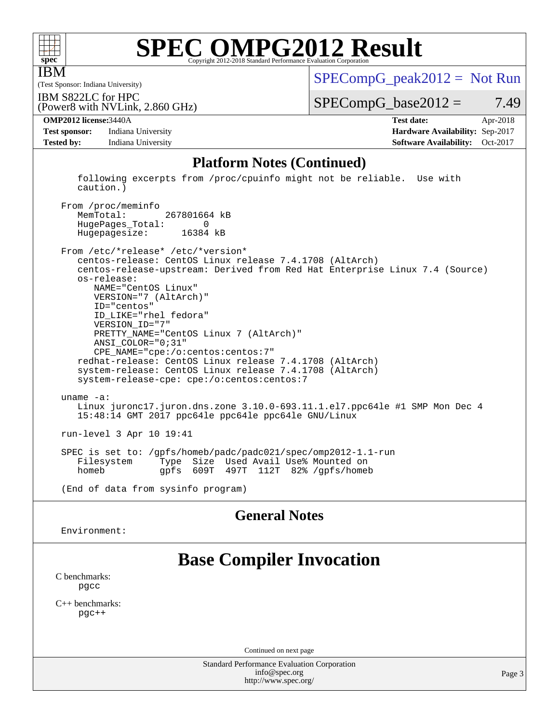

IBM

## **[SPEC OMPG2012 Result](http://www.spec.org/auto/omp2012/Docs/result-fields.html#SPECOMPG2012Result)**

(Test Sponsor: Indiana University)

 $SPECompG_peak2012 = Not Run$  $SPECompG_peak2012 = Not Run$ 

IBM S822LC for HPC

 $SPECompG_base2012 = 7.49$  $SPECompG_base2012 = 7.49$ 

**[Test sponsor:](http://www.spec.org/auto/omp2012/Docs/result-fields.html#Testsponsor)** Indiana University **[Hardware Availability:](http://www.spec.org/auto/omp2012/Docs/result-fields.html#HardwareAvailability)** Sep-2017 **[Tested by:](http://www.spec.org/auto/omp2012/Docs/result-fields.html#Testedby)** Indiana University **[Software Availability:](http://www.spec.org/auto/omp2012/Docs/result-fields.html#SoftwareAvailability)** Oct-2017

(Power8 with NVLink, 2.860 GHz)

**[OMP2012 license:](http://www.spec.org/auto/omp2012/Docs/result-fields.html#OMP2012license)**3440A **[Test date:](http://www.spec.org/auto/omp2012/Docs/result-fields.html#Testdate)** Apr-2018

#### **[Platform Notes \(Continued\)](http://www.spec.org/auto/omp2012/Docs/result-fields.html#PlatformNotes)**

 following excerpts from /proc/cpuinfo might not be reliable. Use with caution.)

 From /proc/meminfo MemTotal: 267801664 kB HugePages\_Total: 0 Hugepagesize: 16384 kB

 From /etc/\*release\* /etc/\*version\* centos-release: CentOS Linux release 7.4.1708 (AltArch) centos-release-upstream: Derived from Red Hat Enterprise Linux 7.4 (Source) os-release: NAME="CentOS Linux" VERSION="7 (AltArch)" ID="centos" ID\_LIKE="rhel fedora" VERSION\_ID="7" PRETTY\_NAME="CentOS Linux 7 (AltArch)" ANSI\_COLOR="0;31" CPE\_NAME="cpe:/o:centos:centos:7" redhat-release: CentOS Linux release 7.4.1708 (AltArch) system-release: CentOS Linux release 7.4.1708 (AltArch) system-release-cpe: cpe:/o:centos:centos:7 uname -a: Linux juronc17.juron.dns.zone 3.10.0-693.11.1.el7.ppc64le #1 SMP Mon Dec 4 15:48:14 GMT 2017 ppc64le ppc64le ppc64le GNU/Linux run-level 3 Apr 10 19:41 SPEC is set to: /gpfs/homeb/padc/padc021/spec/omp2012-1.1-run

Type Size Used Avail Use% Mounted on homeb gpfs 609T 497T 112T 82% /gpfs/homeb

(End of data from sysinfo program)

### **[General Notes](http://www.spec.org/auto/omp2012/Docs/result-fields.html#GeneralNotes)**

Environment:

### **[Base Compiler Invocation](http://www.spec.org/auto/omp2012/Docs/result-fields.html#BaseCompilerInvocation)**

[C benchmarks](http://www.spec.org/auto/omp2012/Docs/result-fields.html#Cbenchmarks): [pgcc](http://www.spec.org/omp2012/results/res2018q2/omp2012-20180605-00149.flags.html#user_CCbase_pgcc_l)

[C++ benchmarks:](http://www.spec.org/auto/omp2012/Docs/result-fields.html#CXXbenchmarks) [pgc++](http://www.spec.org/omp2012/results/res2018q2/omp2012-20180605-00149.flags.html#user_CXXbase_pgcpp_l_e5fc4a0ead554906661557a60ef932e8)

Continued on next page

Standard Performance Evaluation Corporation [info@spec.org](mailto:info@spec.org) <http://www.spec.org/>